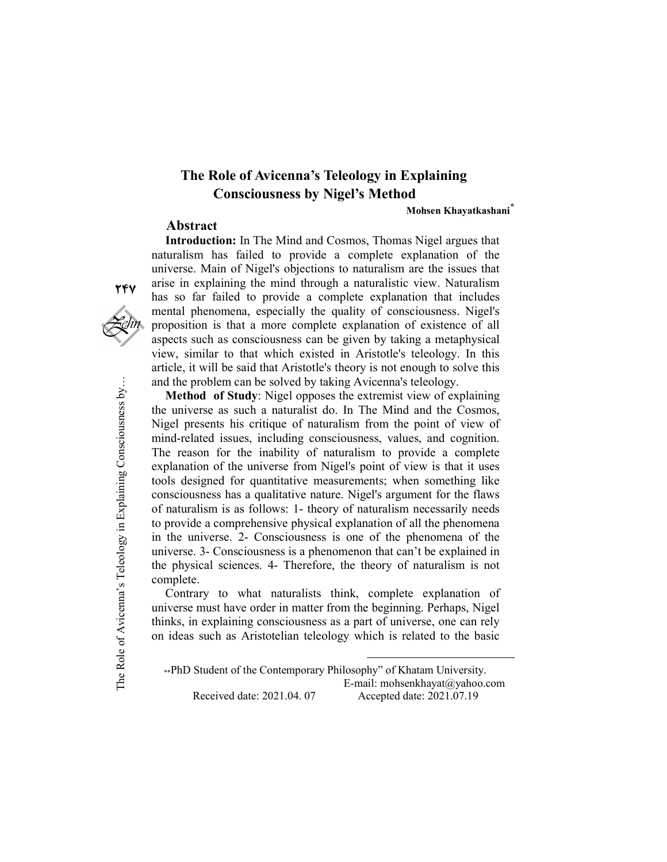## The Role of Avicenna's Teleology in Explaining Consciousness by Nigel's Method

Mohsen Khayatkashani\*

## Abstract

Introduction: In The Mind and Cosmos, Thomas Nigel argues that naturalism has failed to provide a complete explanation of the universe. Main of Nigel's objections to naturalism are the issues that arise in explaining the mind through a naturalistic view. Naturalism has so far failed to provide a complete explanation that includes mental phenomena, especially the quality of consciousness. Nigel's proposition is that a more complete explanation of existence of all aspects such as consciousness can be given by taking a metaphysical view, similar to that which existed in Aristotle's teleology. In this article, it will be said that Aristotle's theory is not enough to solve this and the problem can be solved by taking Avicenna's teleology.

The problem can be solved by taking Avicenna's teleology.<br> **Method of Study**: Nigel opposes the extremist view of explain<br>
the universe as such a naturalist do. In The Mind and the Cosn<br>
Nigel presents his critique of nat Method of Study: Nigel opposes the extremist view of explaining the universe as such a naturalist do. In The Mind and the Cosmos, Nigel presents his critique of naturalism from the point of view of mind-related issues, including consciousness, values, and cognition. The reason for the inability of naturalism to provide a complete explanation of the universe from Nigel's point of view is that it uses tools designed for quantitative measurements; when something like consciousness has a qualitative nature. Nigel's argument for the flaws of naturalism is as follows: 1- theory of naturalism necessarily needs to provide a comprehensive physical explanation of all the phenomena in the universe. 2- Consciousness is one of the phenomena of the universe. 3- Consciousness is a phenomenon that can't be explained in the physical sciences. 4- Therefore, the theory of naturalism is not complete.

Contrary to what naturalists think, complete explanation of universe must have order in matter from the beginning. Perhaps, Nigel thinks, in explaining consciousness as a part of universe, one can rely on ideas such as Aristotelian teleology which is related to the basic

\*\*PhD Student of the Contemporary Philosophy" of Khatam University. E-mail: mohsenkhayat@yahoo.com Received date: 2021.04. 07 Accepted date: 2021.07.19

-

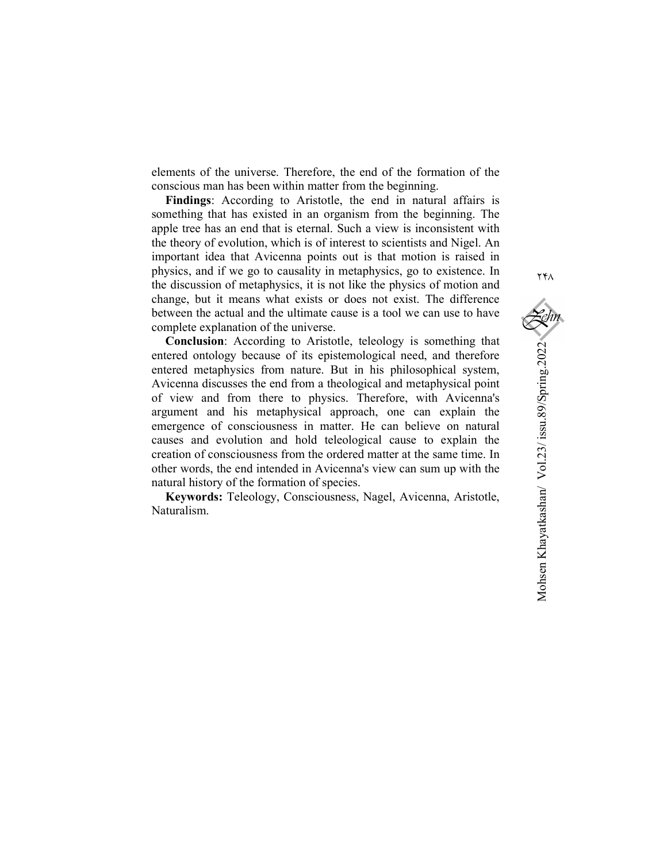elements of the universe. Therefore, the end of the formation of the conscious man has been within matter from the beginning.

Findings: According to Aristotle, the end in natural affairs is something that has existed in an organism from the beginning. The apple tree has an end that is eternal. Such a view is inconsistent with the theory of evolution, which is of interest to scientists and Nigel. An important idea that Avicenna points out is that motion is raised in physics, and if we go to causality in metaphysics, go to existence. In the discussion of metaphysics, it is not like the physics of motion and change, but it means what exists or does not exist. The difference between the actual and the ultimate cause is a tool we can use to have complete explanation of the universe.

Conclusion: According to Aristotle, teleology is something that entered ontology because of its epistemological need, and therefore entered metaphysics from nature. But in his philosophical system, Avicenna discusses the end from a theological and metaphysical point of view and from there to physics. Therefore, with Avicenna's argument and his metaphysical approach, one can explain the emergence of consciousness in matter. He can believe on natural causes and evolution and hold teleological cause to explain the creation of consciousness from the ordered matter at the same time. In other words, the end intended in Avicenna's view can sum up with the natural history of the formation of species.

Keywords: Teleology, Consciousness, Nagel, Avicenna, Aristotle, Naturalism.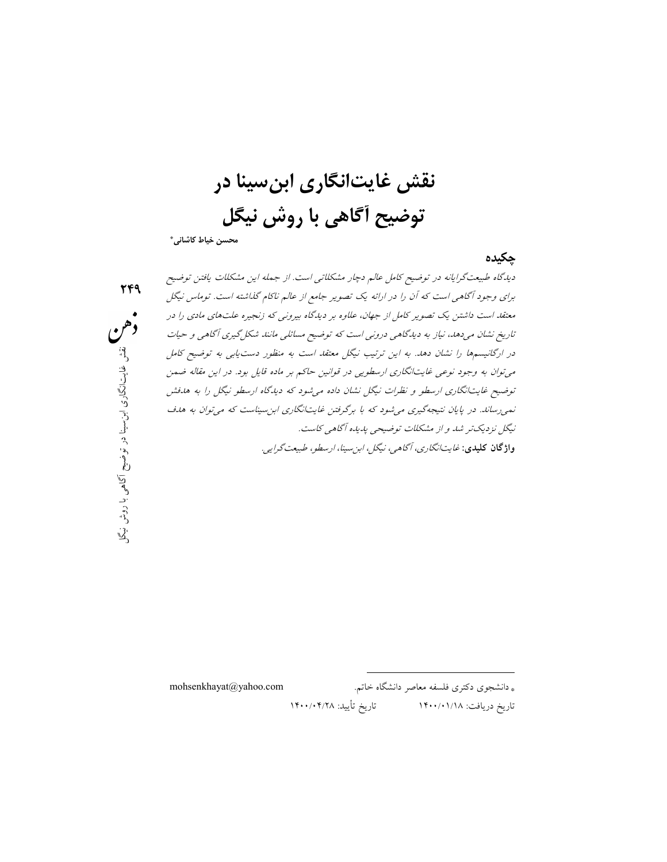نقش غايتانگاري ابنسينا در توضيح آگاهي با روش نيگل

محسن خياط كاشاني\*

٢٤٩

چكيده

در ارگانيسمها را نشان دهد. به اين ترتيب نيگل معتقد است به منظور دست *يابى به توضيح كامل*<br>م<sub>ح</sub>توان به وجود نوعى غايتانگارى ارسطويى در قوانين حاكم بر ماده قايل بود. در اين مقاله ضمن<br>توضيح غايتانگارى ارسطو و نظرات نيگل نشان نم<sub>ی ر</sub>ساند. در پ*ايان نتيجهگيری مي شود كه با برگرفتن غايتانگاری ابن سيناست كه مي توان به هدف*<br>آبن مي بريد بود *گاه<sub>می</sub> کاست.*<br>*ا، ارسطو، طبيعت گرايبی.*<br>توفي در نام ح ي توضيح با يستوار با يستوار با يستوار با يستوار با يستوار با يستوار با يستوار با يستوار با يستوار<br>با يستوار با يستوار با يستوار با يستوار با يستوار با يستوار با يستو ديدگاه طبيعتگرايانه در توضيح كامل عالم دچار مشكلاتي است. از جمله اين مشكلات يافتن توضيح براي وجود آگاهي است كه آن را در ارائه يك تصوير جامع از عالم ناكام گذاشته است. توماس نيگل معتقد است داشتن يك تصوير كامل از جهان، علاوه بر ديدگاه بيروني كه زنجيره علتهاي مادي را در تاريخ نشان ميدهد، نياز به ديدگاهي دروني است كه توضيح مسائلي مانند شكلگيري آگاهي <sup>و</sup> حيات در ارگانيسمها را نشان دهد. به اين ترتيب نيگل معتقد است به منظور دستيابي به توضيح كامل ميتوان به وجود نوعي غايتانگاري ارسطويي در قوانين حاكم بر ماده قايل بود. در اين مقاله ضمن نيگل نزديكتر شد <sup>و</sup> از مشكلات توضيحي پديده آگاهي كاست. واژگان كليدي: غايتانگاري، آگاهي، نيگل، ابنسينا، ارسطو، طبيعتگرايي.

\* دانشجوي دكتري فلسفه معاصر دانشگاه خاتم. com.yahoo@mohsenkhayat

-

تاريخ دريافت: ١٤٠٠/٠١/١٨ تاريخ تأييد: ١٤٠٠/٠٤/٢٨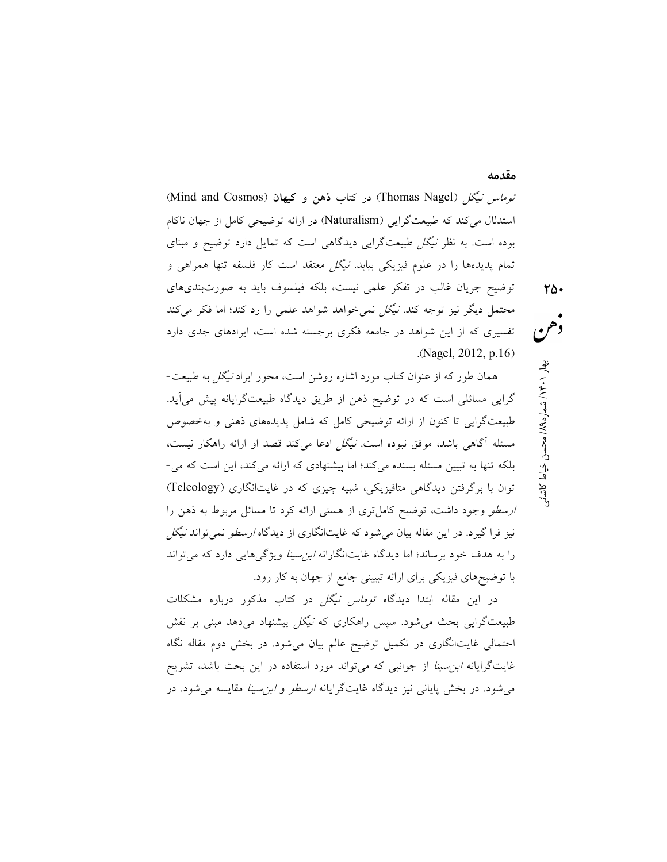توم*اس نيگل (*Thomas Nagel) در كتاب **ذهن و كيهان** (Mind and Cosmos) استدلال ميكند كه طبيعتگرايي (Naturalism (در ارائه توضيحي كامل از جهان ناكام بوده است. به نظر نيگل طبيعتگرايي ديدگاهي است كه تمايل دارد توضيح و مبناي تمام پديدهها را در علوم فيزيكي بيابد. نيگل معتقد است كار فلسفه تنها همراهي و توضيح جريان غالب در تفكر علمي نيست، بلكه فيلسوف بايد به صورتبنديهاي محتمل ديگر نيز توجه كند. نيگل نميخواهد شواهد علمي را رد كند؛ اما فكر ميكند تفسيري كه از اين شواهد در جامعه فكري برجسته شده است، ايرادهاي جدي دارد .(Nagel, 2012, p.16)

همان طور كه از عنوان كتاب مورد اشاره روشن است، محور ايراد نيگل به طبيعت- گرايي مسائلي است كه در توضيح ذهن از طريق ديدگاه طبيعتگرايانه پيش ميآيد. طبيعتگرايي تا كنون از ارائه توضيحي كامل كه شامل پديدههاي ذهني و بهخصوص مسئله آگاهي باشد، موفق نبوده است. نيگل ادعا ميكند قصد او ارائه راهكار نيست، بلكه تنها به تبيين مسئله بسنده ميكند؛ اما پيشنهادي كه ارائه ميكند، اين است كه مي- توان با برگرفتن ديدگاهي متافيزيكي، شبيه چيزي كه در غايتانگاري (Teleology( ارسطو وجود داشت، توضيح كاملتري از هستي ارائه كرد تا مسائل مربوط به ذهن را نيز فرا گيرد. در اين مقاله بيان مي شود كه غايتانگاري از ديدگاه *ارسطو* نمي تواند *نيگل* را به هدف خود برساند؛ اما ديدگاه غايتانگارانه *ابن سينا* ويژگي هايي دارد كه مي تواند با توضيحهاي فيزيكي براي ارائه تبييني جامع از جهان به كار رود.

م كان المحسن خياط كاشان المحسن خياط كاشان<br>• هم<br>• هم المحسن خيار 14.1 بهار 14.1 بهار 14.1 بهار 14.1 بهار 14.1 بهار 14.1 بهار 14.1 بهار 14.1 بهار 14.1 بها

مقدمه

در اين مقاله ابتدا ديدگاه توماس نيگل در كتاب مذكور درباره مشكلات طبيعتگرايي بحث مي شود. سپس راهكاري كه *نيگل* پيشنهاد ميدهد مبني بر نقش احتمالي غايتانگاري در تكميل توضيح عالم بيان ميشود. در بخش دوم مقاله نگاه غايتگرايانه ابنسينا از جوانبي كه ميتواند مورد استفاده در اين بحث باشد، تشريح مي شود. در بخش پاياني نيز ديدگاه غايتگرايانه *ارسطو و ابن سينا* مقايسه مي شود. در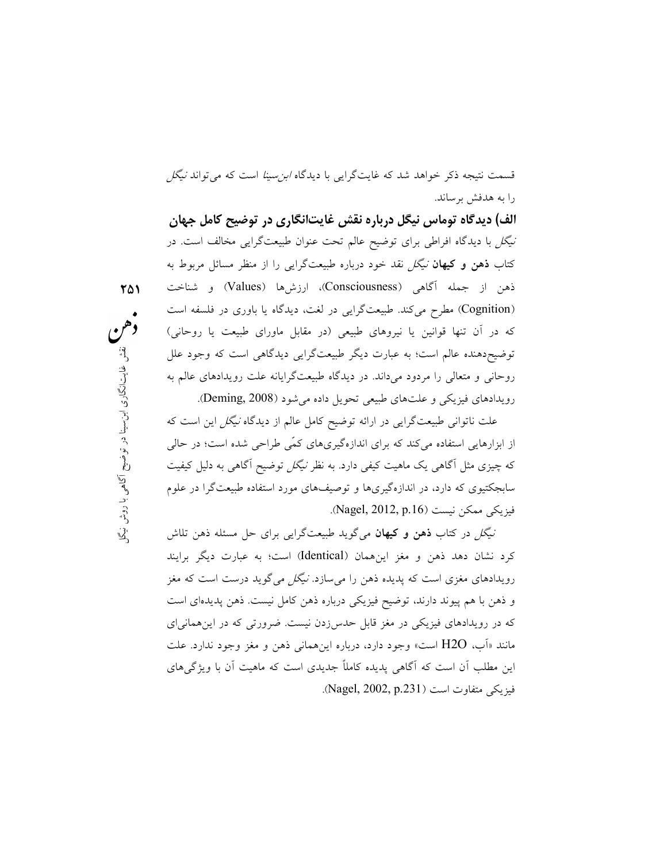قسمت نتيجه ذكر خواهد شد كه غايتگرايي با ديدگاه *ابن سينا* است كه مي تواند *نيگل* را به هدفش برساند.

؛ به عبارت دیگر طبیعتگرایی دیدگاهی است که وجود علل<br>دود میداند. در دیدگاه طبیعتگرایانه علت رویدادهای عالم به<br>ایتهای طبیعی تحصیل داده و بژرد (Deming 2008) ابن <sup>ي</sup> الف) ديدگاه توماس نيگل درباره نقش غايتانگاري در توضيح كامل جهان نيگل با ديدگاه افراطي براي توضيح عالم تحت عنوان طبيعتگرايي مخالف است. در كتاب ذهن و كيهان نيگل نقد خود درباره طبيعتگرايي را از منظر مسائل مربوط به ذهن از جمله آگاهي (Consciousness(، ارزشها (Values (و شناخت (Cognition) مطرح مي كند. طبيعتگرايي در لغت، ديدگاه يا باوري در فلسفه است كه در آن تنها قوانين يا نيروهاي طبيعي (در مقابل ماوراي طبيعت يا روحاني) توضيحدهنده عالم است؛ به عبارت ديگر طبيعتگرايي ديدگاهي است كه وجود علل روحاني و متعالي را مردود ميداند. در ديدگاه طبيعتگرايانه علت رويدادهاي عالم به رويدادهاي فيزيكي و علتهاي طبيعي تحويل داده ميشود (2008 ,Deming(.

٢٥١

علت نالوالی طبیعت در این در ارائه نوصیح نامل عالم از دیدناه *نیکل این است که*<br>ارهایی استفاده میکند که برای اندازهگیریهای کمّی طراحی شده است؛ در حالی<br>نیزی مثل آگاهی یک ماهیت کیفی دارد. به نظر *نیگل* توضیح آگاهی به دلیل کیف علت ناتواني طبيعتگرايي در ارائه توضيح كامل عالم از ديدگاه نيگل اين است كه از ابزارهايي استفاده ميكند كه براي اندازهگيريهاي كمّي طراحي شده است؛ در حالي كه چيزي مثل آگاهي يك ماهيت كيفي دارد. به نظر نيگل توضيح آگاهي به دليل كيفيت سابجكتيوي كه دارد، در اندازهگيريها و توصيفهاي مورد استفاده طبيعتگرا در علوم فيزيكي ممكن نيست (Nagel, 2012, p.16).

كرد نشان دهد ذهن و مغز اينهمان (Identical (است؛ به عبارت ديگر برايند رويدادهاي مغزي است كه پديده ذهن را مي سازد. *نيگل مي گو*يد درست است كه مغز و ذهن با هم پيوند دارند، توضيح فيزيكي درباره ذهن كامل نيست. ذهن پديدهاي است كه در رويدادهاي فيزيكي در مغز قابل حدسزدن نيست. ضرورتي كه در اينهمانياي مانند «آب، O2H است» وجود دارد، درباره اينهماني ذهن و مغز وجود ندارد. علت اين مطلب آن است كه آگاهي پديده كاملاً جديدي است كه ماهيت آن با ويژگيهاي فيزيكي متفاوت است (Nagel, 2002, p.231).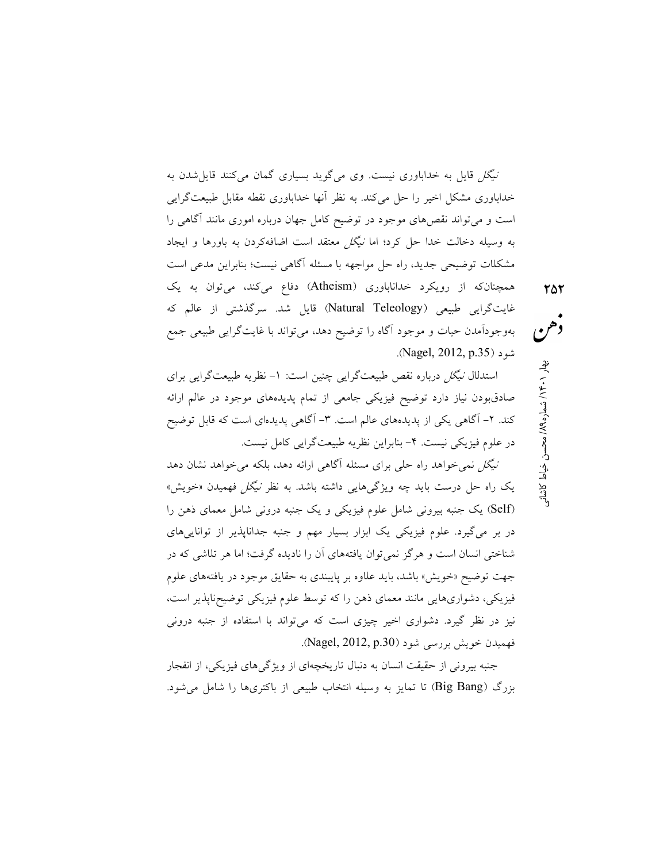نيگل قايل به خداباوري نيست. وي ميگويد بسياري گمان ميكنند قايلشدن به خداباوري مشكل اخير را حل ميكند. به نظر آنها خداباوري نقطه مقابل طبيعتگرايي است و ميتواند نقصهاي موجود در توضيح كامل جهان درباره اموري مانند آگاهي را به وسيله دخالت خدا حل كرد؛ اما نيگل معتقد است اضافهكردن به باورها و ايجاد مشكلات توضيحي جديد، راه حل مواجهه با مسئله آگاهي نيست؛ بنابراين مدعي است همچنانكه از رويكرد خداناباوري (Atheism (دفاع ميكند، ميتوان به يك غايتگرايي طبيعي (Teleology Natural (قايل شد. سرگذشتي از عالم كه بهوجودآمدن حيات و موجود آگاه را توضيح دهد، ميتواند با غايتگرايي طبيعي جمع

استدلال نيگل درباره نقص طبيعتگرايي چنين است: -١ نظريه طبيعتگرايي براي صادقبودن نياز دارد توضيح فيزيكي جامعي از تمام پديدههاي موجود در عالم ارائه كند. ٢- آگاهي يكي از پديدههاي عالم است. ٣- آگاهي پديدهاي است كه قابل توضيح در علوم فيزيكي نيست. -٤ بنابراين نظريه طبيعتگرايي كامل نيست.

.(Nagel, 2012, p.35) شود

ي كان المحسن خياط كاشان المحسن خياط كاشاني<br>• هم<br>• هم الاستخدام بهار 1301 به محسن خياط كاشاني

نيگل نميخواهد راه حلي براي مسئله آگاهي ارائه دهد، بلكه ميخواهد نشان دهد يك راه حل درست بايد چه ويژگيهايي داشته باشد. به نظر نيگل فهميدن «خويش» (Self (يك جنبه بيروني شامل علوم فيزيكي و يك جنبه دروني شامل معماي ذهن را در بر ميگيرد. علوم فيزيكي يك ابزار بسيار مهم و جنبه جداناپذير از تواناييهاي شناختي انسان است و هرگز نميتوان يافتههاي آن را ناديده گرفت؛ اما هر تلاشي كه در جهت توضيح «خويش» باشد، بايد علاوه بر پايبندي به حقايق موجود در يافتههاي علوم فيزيكي، دشواريهايي مانند معماي ذهن را كه توسط علوم فيزيكي توضيحناپذير است، نيز در نظر گيرد. دشواري اخير چيزي است كه ميتواند با استفاده از جنبه دروني فهميدن خويش بررسي شود (Nagel, 2012, p.30).

جنبه بيروني از حقيقت انسان به دنبال تاريخچهاي از ويژگيهاي فيزيكي، از انفجار بزرگ (Big Bang) تا تمايز به وسيله انتخاب طبيعي از باكترىها را شامل مي شود.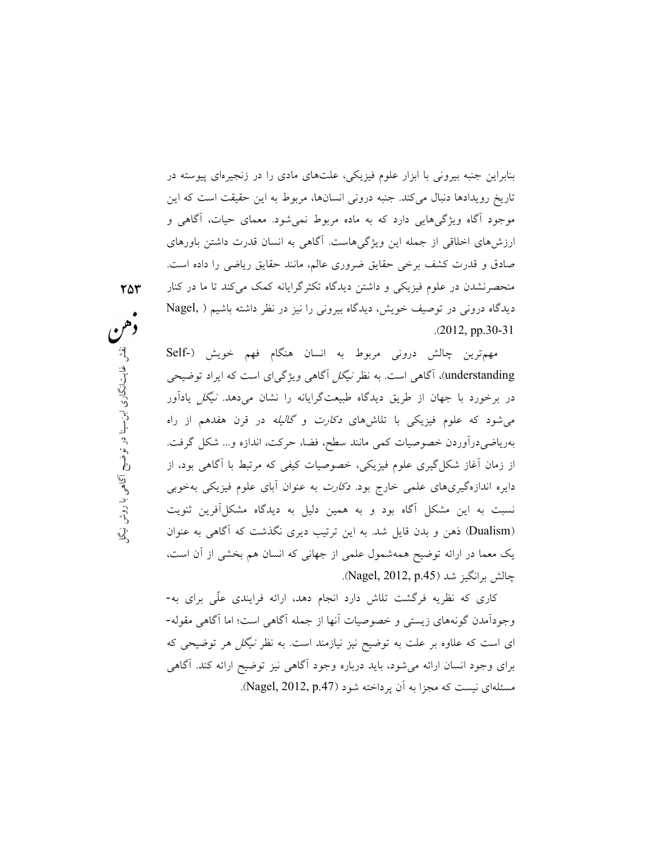بنابراين جنبه بيروني با ابزار علوم فيزيكي، علتهاي مادي را در زنجيرهاي پيوسته در تاريخ رويدادها دنبال ميكند. جنبه دروني انسانها، مربوط به اين حقيقت است كه اين موجود آگاه ويژگيهايي دارد كه به ماده مربوط نميشود. معماي حيات، آگاهي و ارزشهاي اخلاقي از جمله اين ويژگيهاست. آگاهي به انسان قدرت داشتن باورهاي صادق و قدرت كشف برخي حقايق ضروري عالم، مانند حقايق رياضي را داده است. منحصرنشدن در علوم فيزيكي و داشتن ديدگاه تكثرگرايانه كمك ميكند تا ما در كنار ديدگاه دروني در توصيف خويش، ديدگاه بيروني را نيز در نظر داشته باشيم ( ,Nagel .(2012, pp.30-31

درونی مربوط به انسان هنگام فهم خويش (-Self<br>سی است. به نظر *نیگل* آگاهی ویژگی|ی است که ایراد توضیحی<br>طریق دیدگاه طبیعتگ ایانه را نشان به دهد *نیگل* بادآور در بر مورد به يهمهاي رسويي ميدهاند ميبينك مرتيب را مستاي مي داد.<br>ميشود كه علوم فيزيكي با تلاشهاي *دكارت و گاليله* در قرن هفدهم از راه مستاي آ وسار راه سمعدهم از راه<br>سطح، فضا، حرکت، اندازه و... شکل گرفت.<br>صوصیات کیفی که مرتبط با آگاهی بود، از مستقل کوان<br>شروت به عنوان آبای علوم فیزیکی بهخوبی<br>هین دلیل به دیدگاه مشکل[فرین ثنویت<br>ترتیب دیری نگذشت که آگاهی به عنوان مین مهمترين چالش دروني مربوط به انسان هنگام فهم خويش (-Self understanding)، آگاهي است. به نظر *نيگل* آگاهي ويژگي|ى است كه ايراد توضيحي در برخورد با جهان از طريق ديدگاه طبيعتگرايانه را نشان ميدهد. نيگل يادآور بهرياضيدرآوردن خصوصيات كمي مانند سطح، فضا، حركت، اندازه و... شكل گرفت. از زمان آغاز شكلگيري علوم فيزيكي، خصوصيات كيفي كه مرتبط با آگاهي بود، از دايره اندازهگيريهاي علمي خارج بود. دكارت به عنوان آباي علوم فيزيكي بهخوبي نسبت به اين مشكل آگاه بود و به همين دليل به ديدگاه مشكلآفرين ثنويت (Dualism (ذهن و بدن قايل شد. به اين ترتيب ديري نگذشت كه آگاهي به عنوان يك معما در ارائه توضيح همهشمول علمي از جهاني كه انسان هم بخشي از آن است، چالش برانگيز شد (Nagel, 2012, p.45).

> كاري كه نظريه فرگشت تلاش دارد انجام دهد، ارائه فرايندي عّلي براي به- وجودآمدن گونههاي زيستي و خصوصيات آنها از جمله آگاهي است؛ اما آگاهي مقوله- اي است كه علاوه بر علت به توضيح نيز نيازمند است. به نظر نيگل هر توضيحي كه براي وجود انسان ارائه ميشود، بايد درباره وجود آگاهي نيز توضيح ارائه كند. آگاهي مسئلهای نيست كه مجزا به آن پرداخته شود (Nagel, 2012, p.47).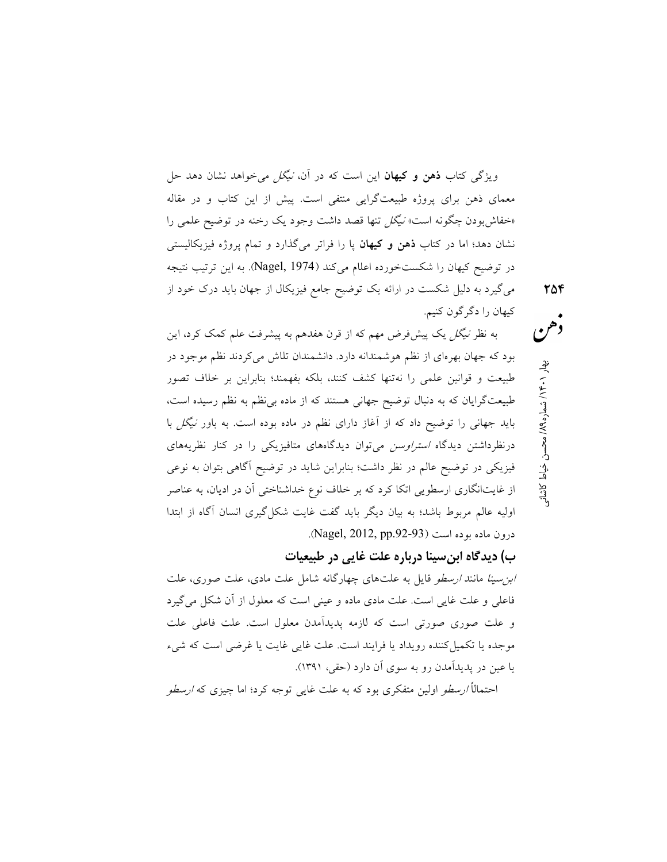ويژگي كتاب **ذهن و كيهان** اين است كه در آن، *نيگل مي خ*واهد نشان دهد حل معماي ذهن براي پروژه طبيعتگرايي منتفي است. پيش از اين كتاب و در مقاله «خفاشبودن چگونه است» *نيگل* تنها قصد داشت وجود يک رخنه در توضيح علمي را نشان دهد؛ اما در كتاب ذهن و كيهان پا را فراتر ميگذارد و تمام پروژه فيزيكاليستي در توضيح كيهان را شكستخورده اعلام ميكند (1974 ,Nagel(. به اين ترتيب نتيجه ميگيرد به دليل شكست در ارائه يك توضيح جامع فيزيكال از جهان بايد درك خود از كيهان را دگرگون كنيم.

به نظر نيگل يك پيشفرض مهم كه از قرن هفدهم به پيشرفت علم كمك كرد، اين بود كه جهان بهرهاي از نظم هوشمندانه دارد. دانشمندان تلاش ميكردند نظم موجود در طبيعت و قوانين علمي را نهتنها كشف كنند، بلكه بفهمند؛ بنابراين بر خلاف تصور طبيعتگرايان كه به دنبال توضيح جهاني هستند كه از ماده بينظم به نظم رسيده است، بايد جهاني را توضيح داد كه از آغاز داراي نظم در ماده بوده است. به باور نيگل با درنظرداشتن ديدگاه *استراوسن مي ت*وان ديدگاههاي متافيزيكي را در كنار نظريههاي فيزيكي در توضيح عالم در نظر داشت؛ بنابراين شايد در توضيح آگاهي بتوان به نوعي از غايتانگاري ارسطويي اتكا كرد كه بر خلاف نوع خداشناختي آن در اديان، به عناصر اوليه عالم مربوط باشد؛ به بيان ديگر بايد گفت غايت شكلگيري انسان آگاه از ابتدا  $\Omega$ درون ماده بوده است (Nagel, 2012, pp.92-93).

ب) ديدگاه ابنسينا درباره علت غايي در طبيعيات

ي كان كان المحسن خياط كاشان المحسن خياط كاشان<br>في محسن خيار 14 × 14 هـ<br>وفي المحسن خيار 1

ا*بن سينا مانند ارسطو* قايل به علتهاي چهارگانه شامل علت مادي، علت صوري، علت فاعلي و علت غايي است. علت مادي ماده و عيني است كه معلول از آن شكل ميگيرد و علت صوري صورتي است كه لازمه پديدآمدن معلول است. علت فاعلي علت موجده يا تكميل كننده رويداد يا فرايند است. علت غايي غايت يا غرضي است كه شيء يا عين در پديدآمدن رو به سوي آن دارد (حقي، ١٣٩١).

احتمال*اً ارسطو* اولين متفكري بود كه به علت غايي توجه كرد؛ اما چيزي كه *ارسطو*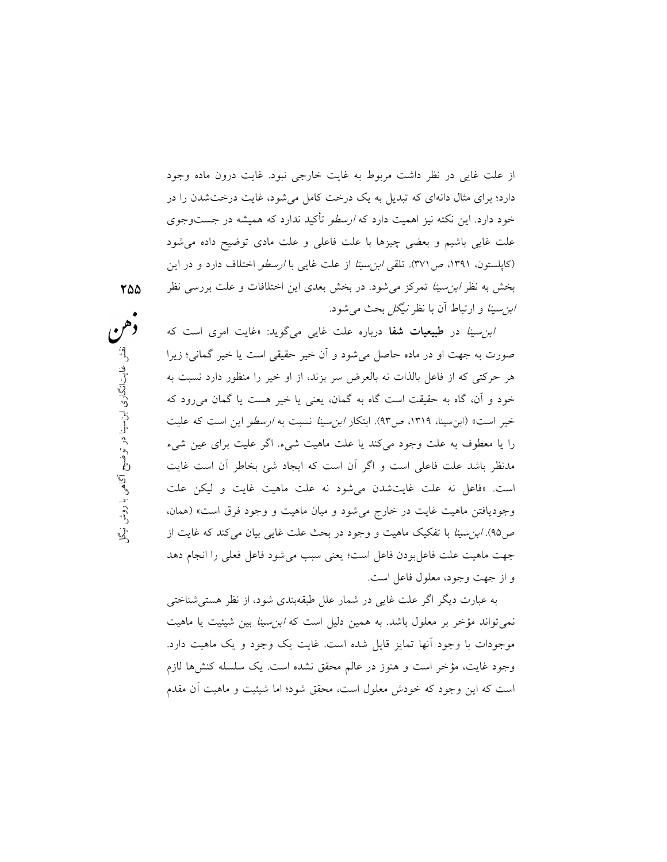از علت غايي در نظر داشت مربوط به غايت خارجي نبود. غايت درون ماده وجود دارد؛ براي مثال دانهاي كه تبديل به يك درخت كامل ميشود، غايت درختشدن را در خود دارد. اين نكته نيز اهميت دارد كه ارسطو تأكيد ندارد كه هميشه در جستوجوي علت غايي باشيم و بعضي چيزها با علت فاعلي و علت مادي توضيح داده ميشود (كاپلستون، ١٣٩١، ص ٣٧١). تلقي *ابن سينا* از علت غاي<sub>ق</sub> با *ارسطو* اختلاف دارد و در اين بخش به نظر ابنسينا تمركز ميشود. در بخش بعدي اين اختلافات و علت بررسي نظر ابنسينا و ارتباط آن با نظر نيگل بحث ميشود.

صورت به جهت او در ماده حاصل مىشود و آن خير حقيقى است يا خير گمانى؛ زيرا<br>هر حركتى كه از فاعل بالذات نه بالعرض سر بزند، از او خير را منظور دارد نسبت به<br>خبرد و آن گاو به حققت است گاو به گمان، وزيد با خبر هست با گمان و بود كه ابن <sup>ي</sup> *بزسينا* سبب به *ارسطو اين است که عليت*<br>ت ماهيت شىء. اگر عليت براى عين شىء<br>است که ايجاد شئ بخاطر آن است غايت<br>د نه علت ماهيت غايت و ليکن علت<br>: و ميان ماهيت و وجود فرق است» (همان،<br>: و ميان ماهيت و وجود فرق است» (همان،<br>در بح ابن سينا در طبيعيات شفا درباره علت غايي مي گويد: «غايت امري است كه هر حركتي كه از فاعل بالذات نه بالعرض سر بزند، از او خير را منظور دارد نسبت به خود و آن، گاه به حقيقت است گاه به گمان، يعني يا خير هست يا گمان ميرود كه خير است» (ابن<code>url</code>ه ابن ابن ابتكار ابن سينا نسبت به *ارسطو* اين است كه عليت را يا معطوف به علت وجود ميكند يا علت ماهيت شيء. اگر عليت براي عين شيء مدنظر باشد علت فاعلي است و اگر آن است كه ايجاد شئ بخاطر آن است غايت است. «فاعل نه علت غايتشدن ميشود نه علت ماهيت غايت و ليكن علت وجوديافتن ماهيت غايت در خارج ميشود و ميان ماهيت و وجود فرق است» (همان، ص40). *ابن سينا* با تفكيك ماهيت و وجود در بحث علت غايي بيان مي كند كه غايت از جهت ماهيت علت فاعلبودن فاعل است؛ يعني سبب ميشود فاعل فعلي را انجام دهد و از جهت وجود، معلول فاعل است.

> به عبارت ديگر اگر علت غايي در شمار علل طبقهبندي شود، از نظر هستيشناختي نميتواند مؤخر بر معلول باشد. به همين دليل است كه ابنسينا بين شيئيت يا ماهيت موجودات با وجود آنها تمايز قايل شده است. غايت يك وجود و يك ماهيت دارد. وجود غايت، مؤخر است و هنوز در عالم محقق نشده است. يك سلسله كنشها لازم است كه اين وجود كه خودش معلول است، محقق شود؛ اما شيئيت و ماهيت آن مقدم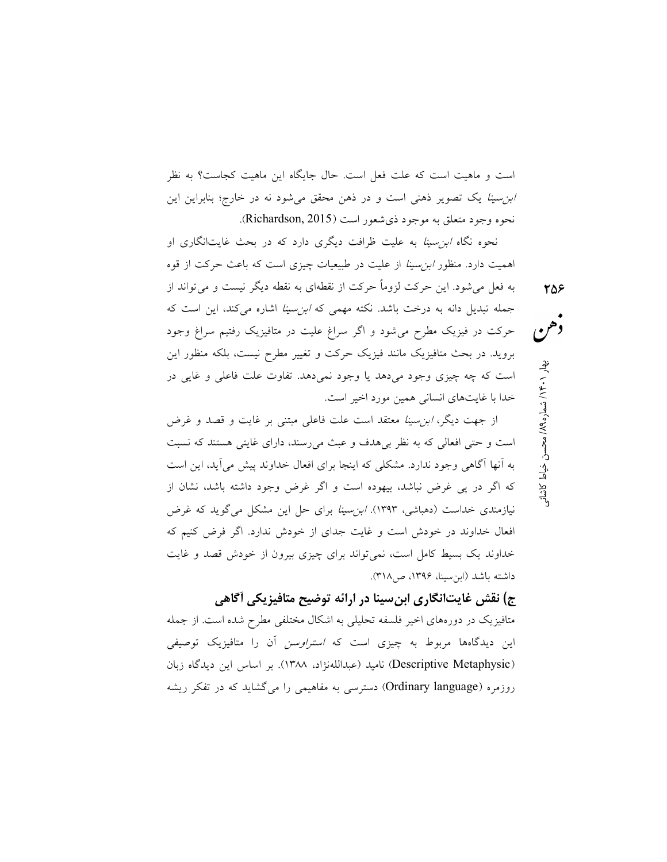است و ماهيت است كه علت فعل است. حال جايگاه اين ماهيت كجاست؟ به نظر ابنسينا يك تصوير ذهني است و در ذهن محقق ميشود نه در خارج؛ بنابراين اين نحوه وجود متعلق به موجود ذيشعور است (2015 ,Richardson(.

نحوه نگاه ابنسينا به عليت ظرافت ديگري دارد كه در بحث غايتانگاري او اهميت دارد. منظور ابنسينا از عليت در طبيعيات چيزي است كه باعث حركت از قوه به فعل ميشود. اين حركت لزوماً حركت از نقطهاي به نقطه ديگر نيست و ميتواند از جمله تبديل دانه به درخت باشد. نكته مهمي كه ابنسينا اشاره ميكند، اين است كه حركت در فيزيك مطرح ميشود و اگر سراغ عليت در متافيزيك رفتيم سراغ وجود برويد. در بحث متافيزيك مانند فيزيك حركت و تغيير مطرح نيست، بلكه منظور اين است كه چه چيزي وجود ميدهد يا وجود نميدهد. تفاوت علت فاعلي و غايي در خدا با غايتهاي انساني همين مورد اخير است.

م كان كاشان المتمار المحسن خياط كاشاني<br>• هم محسن خيار 14 هـ/<br>• محسن خدام المحسن خياط كاشاني

از جهت ديگر، ابنسينا معتقد است علت فاعلي مبتني بر غايت و قصد و غرض است و حتي افعالي كه به نظر بيهدف و عبث ميرسند، داراي غايتي هستند كه نسبت به آنها آگاهي وجود ندارد. مشكلي كه اينجا براي افعال خداوند پيش ميآيد، اين است كه اگر در پي غرض نباشد، بيهوده است و اگر غرض وجود داشته باشد، نشان از نيازمندي خداست (دهباشي، ١٣٩٣). ابنسينا براي حل اين مشكل ميگويد كه غرض افعال خداوند در خودش است و غايت جداي از خودش ندارد. اگر فرض كنيم كه خداوند يك بسيط كامل است، نميتواند براي چيزي بيرون از خودش قصد و غايت داشته باشد (ابنسينا، ،١٣٩٦ ص٣١٨).

ج) نقش غايتانگاري ابنسينا در ارائه توضيح متافيزيكي آگاهي متافيزيك در دورههاي اخير فلسفه تحليلي به اشكال مختلفي مطرح شده است. از جمله اين ديدگاهها مربوط به چيزي است كه استراوسن آن را متافيزيك توصيفي (Metaphysic Descriptive (ناميد (عبداللهنژاد، ١٣٨٨). بر اساس اين ديدگاه زبان روزمره (Ordinary language) دسترسي به مفاهيمي را ميگشايد كه در تفكر ريشه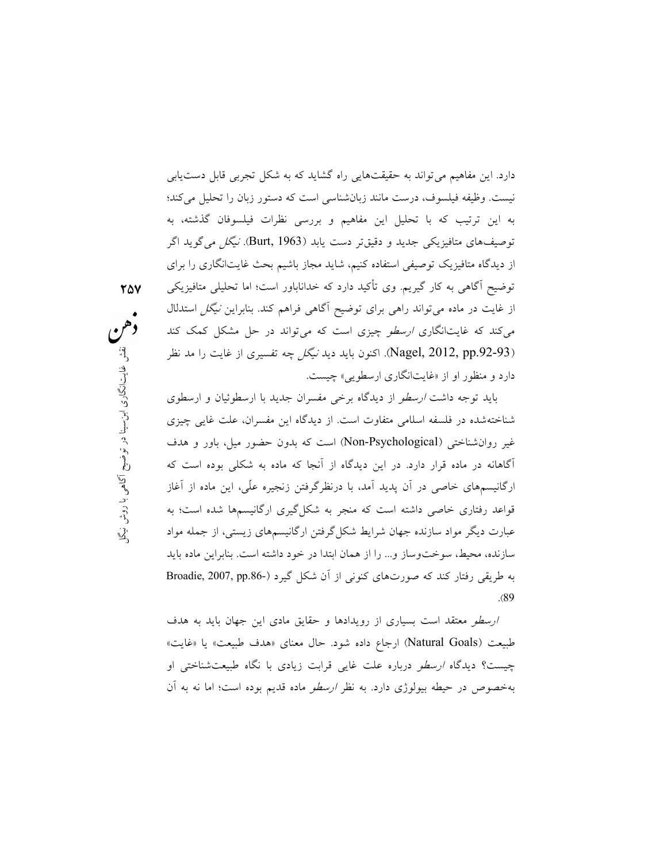(Nagel, 2012, pp.92-93). اكنون بايد ديد *نيگل* چه تفسيرى از غايت را مد نظر<br>دارد و منظور او از «غايتانگارى ارسطويى» چيست.<br>رايد توجه داشت *ارسط*ه از ديدگاه برخ موفسان جديد با ارسطوئيان و ارسطوي دارد. اين مفاهيم ميتواند به حقيقتهايي راه گشايد كه به شكل تجربي قابل دستيابي نيست. وظيفه فيلسوف، درست مانند زبانشناسي است كه دستور زبان را تحليل ميكند؛ به اين ترتيب كه با تحليل اين مفاهيم و بررسي نظرات فيلسوفان گذشته، به توصيفهاي متافيزيكي جديد و دقيقتر دست يابد (1963 ,Burt) نيگل مي گويد اگر از ديدگاه متافيزيك توصيفي استفاده كنيم، شايد مجاز باشيم بحث غايتانگاري را براي توضيح آگاهي به كار گيريم. وي تأكيد دارد كه خداناباور است؛ اما تحليلي متافيزيكي از غايت در ماده ميتواند راهي براي توضيح آگاهي فراهم كند. بنابراين نيگل استدلال ميكند كه غايتانگاري *ارسطو* چيزي است كه مي تواند در حل مشكل كمك كند دارد و منظور او از «غايتانگاري ارسطويي» چيست.

٢٥٧

بن يد من الن يك الن يك بن يابد يك با مسترد .<br>شناختهشده در فلسفه اسلامي متفاوت است. از ديدگاه اين مفسران، علت غايي چيزي النسم؟ . از ديدن، اين معسران، عنت عايي چيزی<br>) است که بدون حضور ميل، باور و هدف<br>، از آنجا که ماده به شکلی بوده است که<br>درنظرگرفتن زنجيره علّی، اين ماده از آغاز<br>در به شکلگیری ارگانيسمها شده است؛ به<br>نر به شکلگیری ارگانيسمها شده است؛ بايد توجه داشت *ارسطو* از ديدگاه برخي مفسران جديد با ارسطوئيان و ارسطوي غير روانشناختي (Psychological-Non (است كه بدون حضور ميل، باور و هدف آگاهانه در ماده قرار دارد. در اين ديدگاه از آنجا كه ماده به شكلي بوده است كه ارگانيسمهاي خاصي در آن پديد آمد، با درنظرگرفتن زنجيره عّلي، اين ماده از آغاز قواعد رفتاري خاصي داشته است كه منجر به شكلگيري ارگانيسمها شده است؛ به عبارت ديگر مواد سازنده جهان شرايط شكلگرفتن ارگانيسمهاي زيستي، از جمله مواد سازنده، محيط، سوختوساز و... را از همان ابتدا در خود داشته است. بنابراين ماده بايد به طريقي رفتار كند كه صورتهاي كنوني از آن شكل گيرد (-Broadie, 2007, pp.86 .(89

> ارسطو معتقد است بسياري از رويدادها و حقايق مادي اين جهان بايد به هدف طبيعت (Goals Natural (ارجاع داده شود. حال معناي «هدف طبيعت» يا «غايت» چيست؟ ديدگاه ارسطو درباره علت غايي قرابت زيادي با نگاه طبيعتشناختي او بهخصوص در حيطه بيولوژي دارد. به نظر *ارسطو* ماده قديم بوده است؛ اما نه به آن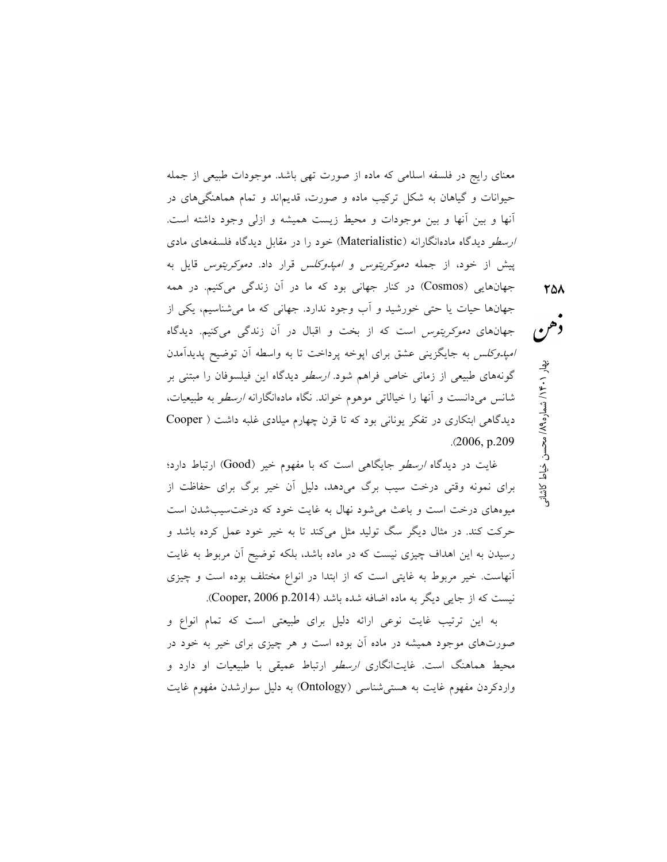معناي رايج در فلسفه اسلامي كه ماده از صورت تهي باشد. موجودات طبيعي از جمله حيوانات و گياهان به شكل تركيب ماده و صورت، قديماند و تمام هماهنگيهاي در آنها و بين آنها و بين موجودات و محيط زيست هميشه و ازلي وجود داشته است. ارسطو ديدگاه مادهانگارانه (Materialistic (خود را در مقابل ديدگاه فلسفههاي مادي پيش از خود، از جمله دموكريتوس و امپدوكلس قرار داد. دموكريتوس قايل به جهانهايي (Cosmos) در كنار جهاني بود كه ما در آن زندگي ميكنيم. در همه جهانها حيات يا حتي خورشيد و آب وجود ندارد. جهاني كه ما ميشناسيم، يكي از جهانهاي دموكريتوس است كه از بخت و اقبال در آن زندگي ميكنيم. ديدگاه امپدوكلس به جايگزيني عشق براي اپوخه پرداخت تا به واسطه آن توضيح پديدآمدن گونههاي طبيعي از زماني خاص فراهم شود. *ارسطو* ديدگاه اين فيلسوفان را مبتني بر شانس ميدانست و آنها را خيالاتي موهوم خواند. نگاه مادهانگارانه ارسطو به طبيعيات، ديدگاهي ابتكاري در تفكر يوناني بود كه تا قرن چهارم ميلادي غلبه داشت ( Cooper .(2006, p.209

كان كاشان المتمار المحسن خياط كاشان<br>• هم<br>• محسن خيار 13 هـ/ محسن خياط كاشانى

غايت در ديدگاه *ارسطو* جايگاهي است كه با مفهوم خير (Good) ارتباط دارد؛ براي نمونه وقتي درخت سيب برگ ميدهد، دليل آن خير برگ براي حفاظت از ميوههاي درخت است و باعث ميشود نهال به غايت خود كه درختسيبشدن است حركت كند. در مثال ديگر سگ توليد مثل ميكند تا به خير خود عمل كرده باشد و رسيدن به اين اهداف چيزي نيست كه در ماده باشد، بلكه توضيح آن مربوط به غايت آنهاست. خير مربوط به غايتي است كه از ابتدا در انواع مختلف بوده است و چيزي نيست كه از جايي ديگر به ماده اضافه شده باشد (Cooper, 2006 p.2014).

به اين ترتيب غايت نوعي ارائه دليل براي طبيعتي است كه تمام انواع و صورتهاي موجود هميشه در ماده آن بوده است و هر چيزي براي خير به خود در محيط هماهنگ است. غايتانگاري ارسطو ارتباط عميقي با طبيعيات او دارد و واردكردن مفهوم غايت به هستيشناسي (Ontology (به دليل سوارشدن مفهوم غايت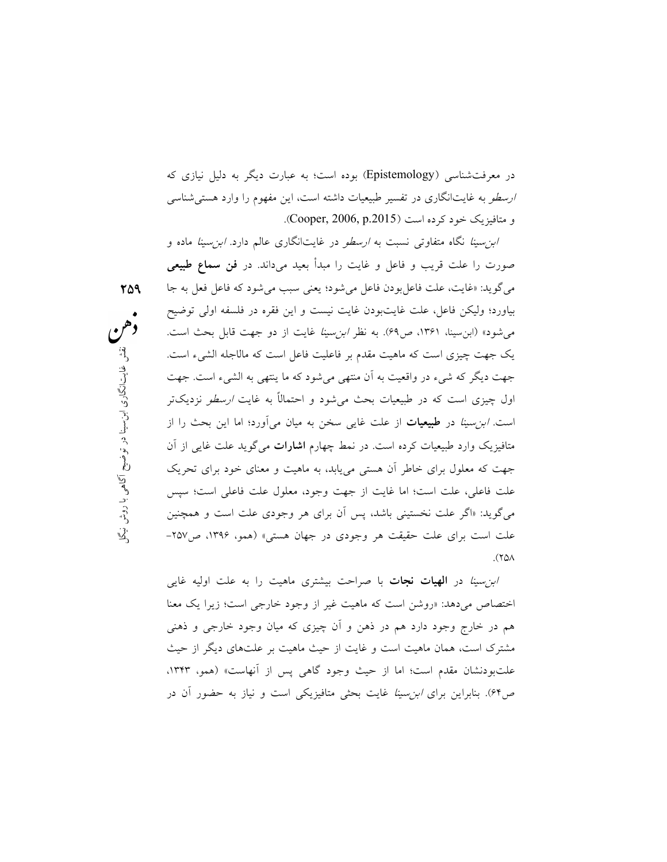در معرفتشناسي (Epistemology (بوده است؛ به عبارت ديگر به دليل نيازي كه *ارسطو* به غايتانگاري در تفسير طبيعيات داشته است، اين مفهوم را وارد هستي شناسي و متافيزيک خود كرده است (Cooper, 2006, p.2015).

یک جهت چیزی است كه ماهیت مقدم بر فاعلیت فاعل است كه مالاجله الشيء است.<br>جهت دیگر كه شيء در واقعیت به آن منتهی می شود كه ما ینتهی به الشيء است. جهت<br>ادار حرزی است كه در طرم ایت بحرث و بشود و احتمالاً به غلبت *ارسطی نیدی ت* اول چيزی است كه در طبيعيات بحث م<sub>ی</sub>شود و احتمالًا به غايت *ارسطو* نزديكتر<br>آخر است كه در استفاد با استفاده بودند با استفاد استفاد استفاده بودند. سحن به ميان مى<sub>ا</sub>ورد؛ اما اين بحب را ار<br>لم چهارم **اشارات** مىگويد علت غايى از آن<br>يابد، به ماهيت و معناى خود براى تحريک<br>ت وجود، معلول علت فاعلى است؛ سپس<br>ن براى هر وجودى علت است و همچنين<br>ى در جهان هستى» (همو، ۱۳۹۶، ص۲۵۷– ا*بن سينا* نگاه متفاوتي نسبت به *ارسطو* در غايتانگاري عالم دارد. *ابن سينا* ماده و صورت را علت قريب و فاعل و غايت را مبدأ بعيد م<sub>ي</sub>داند. در فن **سماع طبيعي** مي گويد: «غايت، علت فاعل بودن فاعل مي شود؛ يعني سبب مي شود كه فاعل فعل به جا بياورد؛ وليكن فاعل، علت غايتبودن غايت نيست و اين فقره در فلسفه اولي توضيح مي شود» (ابن سينا، ١٣۶١، ص۶۹). به نظر *ابن سينا* غايت از دو جهت قابل بحث است. جهت ديگر كه شيء در واقعيت به آن منتهي ميشود كه ما ينتهي به الشيء است. جهت است. *ابن سينا* در **طبيعيات** از علت غاي<sub>م</sub> سخن به ميان مي]ورد؛ اما اين بحث را از متافيزيک وارد طبيعيات كرده است. در نمط چهارم ا**شارات** ميگويد علت غايي از آن جهت كه معلول براي خاطر آن هستي مييابد، به ماهيت و معناي خود براي تحريك علت فاعلي، علت است؛ اما غايت از جهت وجود، معلول علت فاعلي است؛ سپس ميگويد: «اگر علت نخستيني باشد، پس آن براي هر وجودي علت است و همچنين علت است براي علت حقيقت هر وجودي در جهان هستي» (همو، ،١٣٩٦ ص-٢٥٧ .(٢٥٨

> *ابن سينا* در **الهيات نجات** با صراحت بيشتري ماهيت را به علت اوليه غايي اختصاص ميدهد: «روشن است كه ماهيت غير از وجود خارجي است؛ زيرا يك معنا هم در خارج وجود دارد هم در ذهن و آن چيزي كه ميان وجود خارجي و ذهني مشترك است، همان ماهيت است و غايت از حيث ماهيت بر علتهاي ديگر از حيث علتبودنشان مقدم است؛ اما از حيث وجود گاهي پس از آنهاست» (همو، ،١٣٤٣ ص٦٤). بنابراين براي ابنسينا غايت بحثي متافيزيكي است و نياز به حضور آن در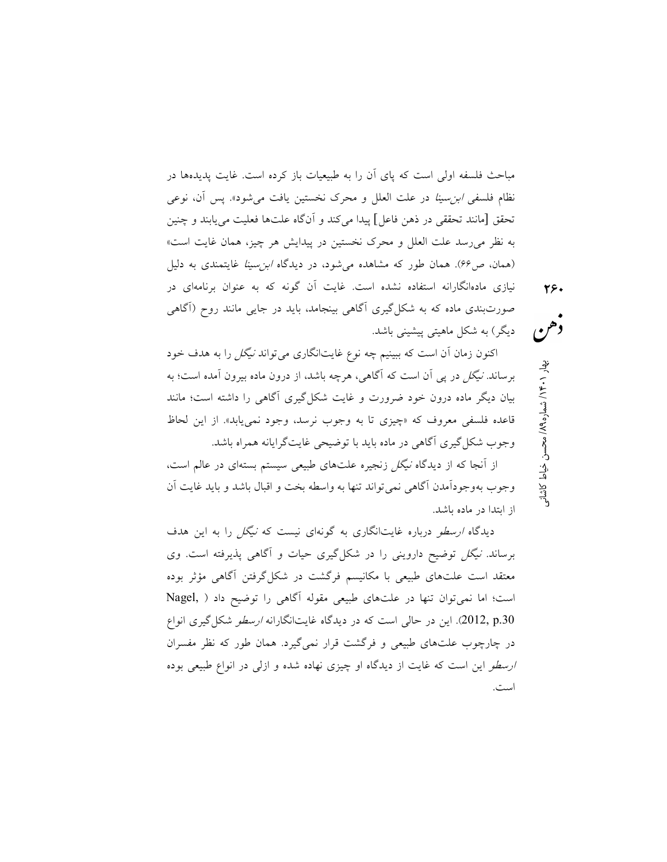مباحث فلسفه اولي است كه پاي آن را به طبيعيات باز كرده است. غايت پديدهها در نظام فلسفي ابنسينا در علت العلل و محرك نخستين يافت ميشود». پس آن، نوعي تحقق [مانند تحققي در ذهن فاعل] پيدا ميكند و آنگاه علتها فعليت مييابند و چنين به نظر ميرسد علت العلل و محرك نخستين در پيدايش هر چيز، همان غايت است» (همان، ص4۶). همان طور كه مشاهده مي شود، در ديدگاه *ابن سينا* غايتمندي به دليل نيازي مادهانگارانه استفاده نشده است. غايت آن گونه كه به عنوان برنامهاي در صورتبندي ماده كه به شكلگيري آگاهي بينجامد، بايد در جايي مانند روح (آگاهي ديگر) به شكل ماهيتي پيشيني باشد.

اكنون زمان آن است كه ببينيم چه نوع غايتانگاري ميتواند نيگل را به هدف خود برساند. نيگل در پي آن است كه آگاهي، هرچه باشد، از درون ماده بيرون آمده است؛ به بيان ديگر ماده درون خود ضرورت و غايت شكلگيري آگاهي را داشته است؛ مانند قاعده فلسفي معروف كه «چيزي تا به وجوب نرسد، وجود نمييابد». از اين لحاظ وجوب شكلگيري آگاهي در ماده بايد با توضيحي غايتگرايانه همراه باشد.

از آنجا كه از ديدگاه نيگل زنجيره علتهاي طبيعي سيستم بستهاي در عالم است، وجوب بهوجودآمدن آگاهي نميتواند تنها به واسطه بخت و اقبال باشد و بايد غايت آن از ابتدا در ماده باشد.

ديدگاه *ارسطو* درباره غايتانگاري به گونهاي نيست كه *نيگل* را به اين هدف برساند. نيگل توضيح دارويني را در شكلگيري حيات و آگاهي پذيرفته است. وي معتقد است علتهاي طبيعي با مكانيسم فرگشت در شكلگرفتن آگاهي مؤثر بوده است؛ اما نميتوان تنها در علتهاي طبيعي مقوله آگاهي را توضيح داد ( ,Nagel .2012, p إين در حالي است كه در ديدگاه غايتانگارانه *ارسطو* شكل گيري انواع در چارچوب علتهاي طبيعي و فرگشت قرار نميگيرد. همان طور كه نظر مفسران ارسطو اين است كه غايت از ديدگاه او چيزي نهاده شده و ازلي در انواع طبيعي بوده است.

م كاشان المسار ١٩٠١ بشمار ١٩٤٠ بهار ١٠٤١ بهار ١٩٩ ه محسن خياط كاشانى<br>\*<br>\*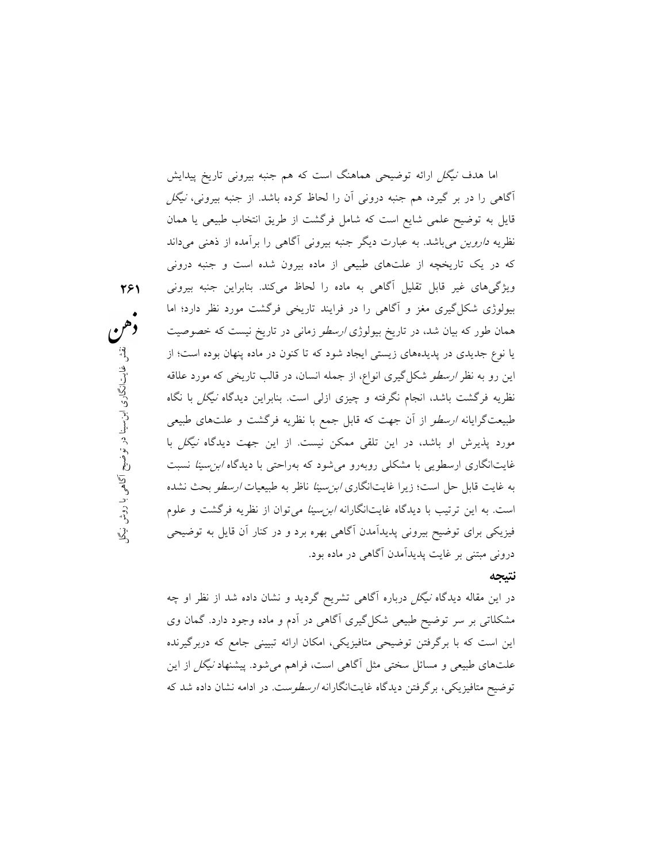،های زيستی ايجاد شود كه تا كنون در ماده پنهان بوده است؛ از<br>كل<sup>گ</sup>يری انواع، از جمله انسان، در قالب تاريخی كه مورد علاقه<br>حمله نگرفته و حمزی ازلر است رنابراین درلمگاه *نیگل را نگ*اه سريه مرحست به سنه عبد العربية از پيپري ر<sub>وي م</sub>ست. بيبرتين ميده ميدس به عبد العام<br>طبيعتگرايانه *ارسطو* از آن جهت كه قابل جمع با نظريه فرگشت و علتهاي طبيعي مبتمع با تصريه ترسست و عنتحدى عبيعى<br>كن نيست. از اين جهت ديدگاه *نيگل* با<br>م<sub>ى</sub>شود كه بهراحتى با ديدگاه *ابن سينا* نسبت<br>*ابن سينا* ناظر به طبيعيات *ارسطو* بحث نشده<br>*ابن سينا مى*توان از نظريه فرگشت و علوم<br>هى بهره برد و در كن اما هدف نيگل ارائه توضيحي هماهنگ است كه هم جنبه بيروني تاريخ پيدايش آگاهي را در بر گيرد، هم جنبه دروني آن را لحاظ كرده باشد. از جنبه بيروني، نيگل قايل به توضيح علمي شايع است كه شامل فرگشت از طريق انتخاب طبيعي يا همان نظريه *داروين مي*باشد. به عبارت ديگر جنبه بيروني آگاهي را برآمده از ذهني ميداند كه در يك تاريخچه از علتهاي طبيعي از ماده بيرون شده است و جنبه دروني ويژگيهاي غير قابل تقليل آگاهي به ماده را لحاظ ميكند. بنابراين جنبه بيروني بيولوژي شكلگيري مغز و آگاهي را در فرايند تاريخي فرگشت مورد نظر دارد؛ اما همان طور كه بيان شد، در تاريخ بيولوژى *ارسطو* زماني در تاريخ نيست كه خصوصيت يا نوع جديدي در پديدههاي زيستي ايجاد شود كه تا كنون در ماده پنهان بوده است؛ از اين رو به نظر *ارسطو* شكلگيرى انواع، از جمله انسان، در قالب تاريخي كه مورد علاقه نظريه فرگشت باشد، انجام نگرفته و چيزي ازلي است. بنابراين ديدگاه نيگل با نگاه مورد پذيرش او باشد، در اين تلقي ممكن نيست. از اين جهت ديدگاه نيگل با غايتانگاري ارسطويي با مشكلي روبهرو ميشود كه بهراحتي با ديدگاه ابنسينا نسبت به غايت قابل حل است؛ زيرا غايتانگاري *ابن سينا* ناظر به طبيعيات *ارسطو* بحث نشده است. به اين ترتيب با ديدگاه غايتانگارانه ابنسينا ميتوان از نظريه فرگشت و علوم فيزيكي براي توضيح بيروني پديدآمدن آگاهي بهره برد و در كنار آن قايل به توضيحي دروني مبتني بر غايت پديدآمدن آگاهي در ماده بود.

٢٦١

## نتيجه

در اين مقاله ديدگاه نيگل درباره آگاهي تشريح گرديد و نشان داده شد از نظر او چه مشكلاتي بر سر توضيح طبيعي شكلگيري آگاهي در آدم و ماده وجود دارد. گمان وي اين است كه با برگرفتن توضيحي متافيزيكي، امكان ارائه تبييني جامع كه دربرگيرنده علتهاي طبيعي و مسائل سختي مثل آگاهي است، فراهم ميشود. پيشنهاد نيگل از اين توضيح متافيزيكي، برگرفتن ديدگاه غايتانگارانه ارسطوست. در ادامه نشان داده شد كه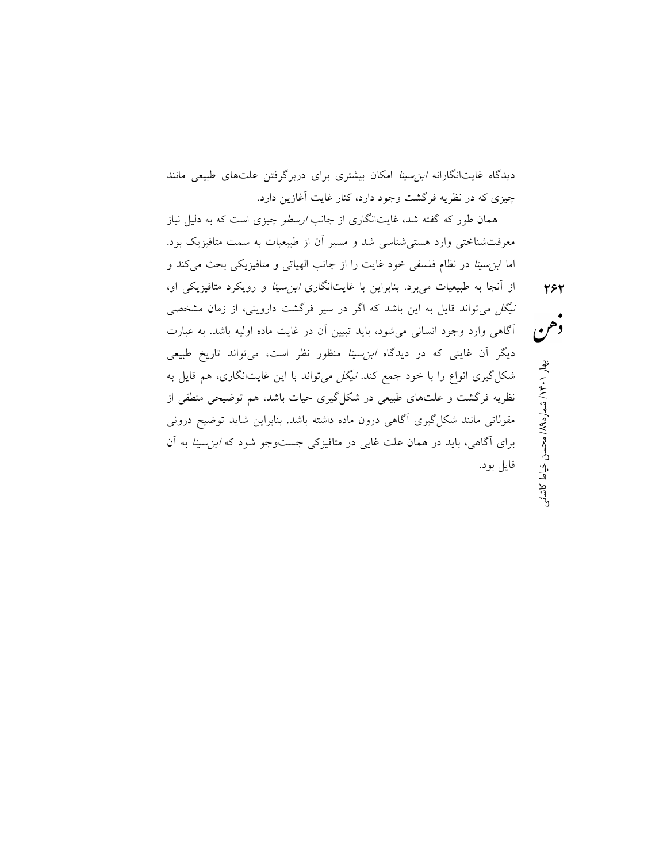ديدگاه غايتانگارانه *ابن سينا* امكان بيشتري براي دربرگرفتن علتهاي طبيعي مانند چيزي كه در نظريه فرگشت وجود دارد، كنار غايت آغازين دارد.

همان طور كه گفته شد، غايتانگارى از جانب *ارسطو* چيزى است كه به دليل نياز معرفتشناختي وارد هستيشناسي شد و مسير آن از طبيعيات به سمت متافيزيك بود. اما ابنسينا در نظام فلسفي خود غايت را از جانب الهياتي و متافيزيكي بحث ميكند و از آنجا به طبيعيات ميبرد. بنابراين با غايتانگاري ابنسينا و رويكرد متافيزيكي او،

نيگل ميتواند قايل به اين باشد كه اگر در سير فرگشت دارويني، از زمان مشخصي آگاهي وارد وجود انساني ميشود، بايد تبيين آن در غايت ماده اوليه باشد. به عبارت ديگر آن غايتي كه در ديدگاه *ابن سينا* منظور نظر است، ميتواند تاريخ طبيعي شكل گيري انواع را با خود جمع كند. *نيگل مي*تواند با اين غايتانگاري، هم قايل به نظريه فرگشت و علتهاي طبيعي در شكلگيري حيات باشد، هم توضيحي منطقي از مقولاتي مانند شكلگيري آگاهي درون ماده داشته باشد. بنابراين شايد توضيح دروني براي آگاهي، بايد در همان علت غايي در متافيزكي جستوجو شود كه ابنسينا به آن قايل بود.

م كان المحسن خياط كاشان المحسن خياط كاشان<br>• ها<br>• هار ۱۶۰۱ به ارتفاع المحسن خياط كاشاني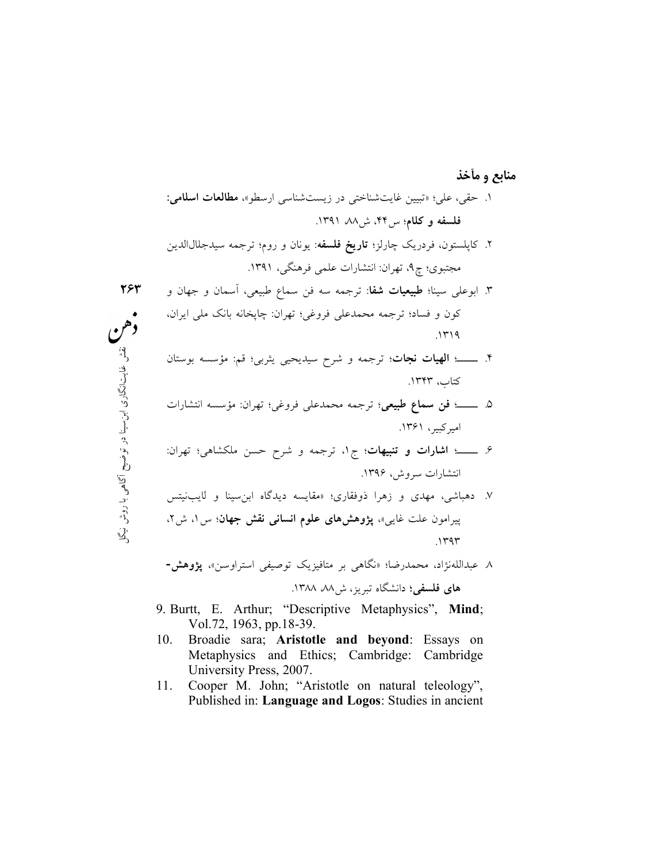انگار <sup>ت</sup> <sup>ي</sup> نقش غا ابن <sup>ي</sup> گل <sup>ي</sup> با روش ن <sup>ي</sup> آگاه <sup>ح</sup> <sup>ي</sup> توض در نا يس ٢٦٣ منابع و مآخذ .١ حقي، علي؛ «تبيين غايتشناختي در زيستشناسي ارسطو»، مطالعات اسلامي: فلسفه و كلام؛ س،٤٤ ش،٨٨ .١٣٩١ .٢ كاپلستون، فردريك چارلز؛ تاريخ فلسفه: يونان و روم؛ ترجمه سيدجلالالدين مجتبوي؛ چ،٩ تهران: انتشارات علمي فرهنگي، .١٣٩١ .٣ ابوعلي سينا؛ طبيعيات شفا: ترجمه سه فن سماع طبيعي، آسمان و جهان و كون و فساد؛ ترجمه محمدعلي فروغي؛ تهران: چاپخانه بانك ملي ايران، .١٣١٩ .٤ ـــــ؛ الهيات نجات؛ ترجمه و شرح سيديحيي يثربي؛ قم: مؤسسه بوستان كتاب، .١٣٤٣ .٥ ـــــ؛ فن سماع طبيعي؛ ترجمه محمدعلي فروغي؛ تهران: مؤسسه انتشارات اميركبير، .١٣٦١ .٦ ـــــ؛ اشارات و تنبيهات؛ ج،١ ترجمه و شرح حسن ملكشاهي؛ تهران: انتشارات سروش، .١٣٩٦

هن

.٧ دهباشي، مهدي و زهرا ذوفقاري؛ «مقايسه ديدگاه ابنسينا و لايبنيتس پيرامون علت غايي»، پژوهشهاي علوم انساني نقش جهان؛ س،١ ش،٢ .١٣٩٣

.٨ عبداللهنژاد، محمدرضا؛ «نگاهي بر متافيزيك توصيفي استراوسن»، پژوهش-

هاي فلسفي؛ دانشگاه تبريز، ش،٨٨ .١٣٨٨

- 9. Burtt, E. Arthur; "Descriptive Metaphysics", Mind; Vol.72, 1963, pp.18-39.
- 10. Broadie sara; Aristotle and beyond: Essays on Metaphysics and Ethics; Cambridge: Cambridge University Press, 2007.
- 11. Cooper M. John; "Aristotle on natural teleology", Published in: Language and Logos: Studies in ancient